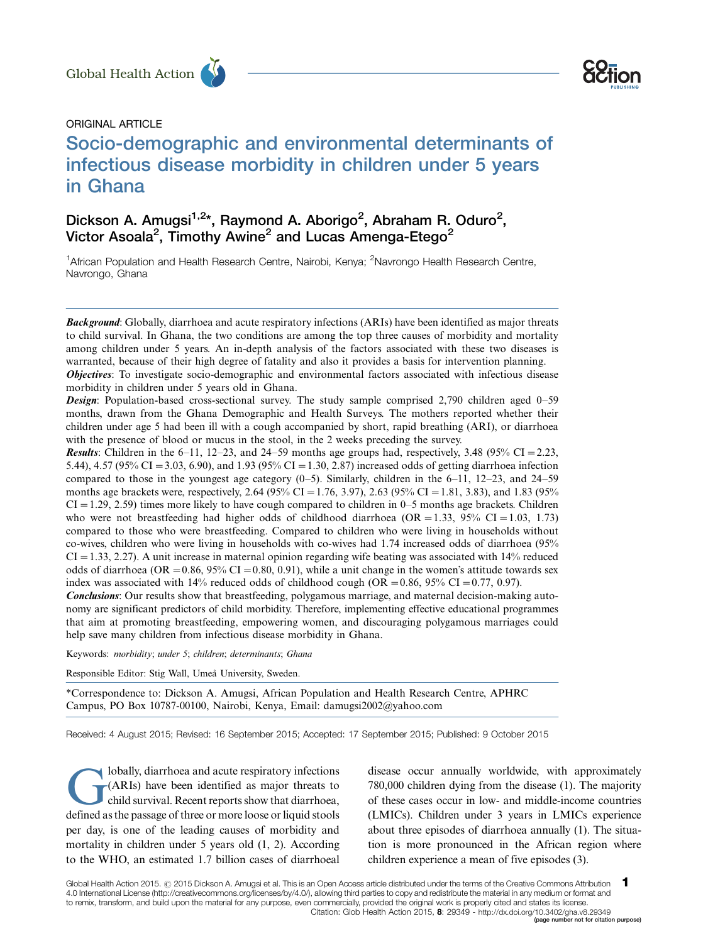

# ORIGINAL ARTICLE

# Socio-demographic and environmental determinants of infectious disease morbidity in children under 5 years in Ghana Global Health Action<br>
ORIGINAL ARTICLE<br>
Socio-demographic and environmental determinants of

# Dickson A. Amugsi<sup>1,2\*</sup>, Raymond A. Aborigo<sup>2</sup>, Abraham R. Oduro<sup>2</sup>, Victor Asoala<sup>2</sup>, Timothy Awine<sup>2</sup> and Lucas Amenga-Etego<sup>2</sup>

<sup>1</sup>African Population and Health Research Centre, Nairobi, Kenya; <sup>2</sup>Navrongo Health Research Centre, Navrongo, Ghana

Background: Globally, diarrhoea and acute respiratory infections (ARIs) have been identified as major threats to child survival. In Ghana, the two conditions are among the top three causes of morbidity and mortality among children under 5 years. An in-depth analysis of the factors associated with these two diseases is warranted, because of their high degree of fatality and also it provides a basis for intervention planning. **Objectives:** To investigate socio-demographic and environmental factors associated with infectious disease

morbidity in children under 5 years old in Ghana.

**Design:** Population-based cross-sectional survey. The study sample comprised 2,790 children aged 0–59 months, drawn from the Ghana Demographic and Health Surveys. The mothers reported whether their children under age 5 had been ill with a cough accompanied by short, rapid breathing (ARI), or diarrhoea with the presence of blood or mucus in the stool, in the 2 weeks preceding the survey.

**Results:** Children in the 6–11, 12–23, and 24–59 months age groups had, respectively, 3.48  $(95\% \text{ CI} = 2.23,$ 5.44), 4.57 (95% CI = 3.03, 6.90), and 1.93 (95% CI = 1.30, 2.87) increased odds of getting diarrhoea infection compared to those in the youngest age category  $(0-5)$ . Similarly, children in the  $6-11$ ,  $12-23$ , and  $24-59$ months age brackets were, respectively, 2.64 (95% CI = 1.76, 3.97), 2.63 (95% CI = 1.81, 3.83), and 1.83 (95%  $CI = 1.29, 2.59$  times more likely to have cough compared to children in 0–5 months age brackets. Children who were not breastfeeding had higher odds of childhood diarrhoea (OR = 1.33, 95% CI = 1.03, 1.73) compared to those who were breastfeeding. Compared to children who were living in households without co-wives, children who were living in households with co-wives had 1.74 increased odds of diarrhoea (95%  $CI = 1.33, 2.27$ . A unit increase in maternal opinion regarding wife beating was associated with 14% reduced odds of diarrhoea (OR =  $0.86$ , 95% CI =  $0.80$ , 0.91), while a unit change in the women's attitude towards sex index was associated with 14% reduced odds of childhood cough (OR = 0.86, 95% CI = 0.77, 0.97).

Conclusions: Our results show that breastfeeding, polygamous marriage, and maternal decision-making autonomy are significant predictors of child morbidity. Therefore, implementing effective educational programmes that aim at promoting breastfeeding, empowering women, and discouraging polygamous marriages could help save many children from infectious disease morbidity in Ghana.

Keywords: morbidity; under 5; children; determinants; Ghana

Responsible Editor: Stig Wall, Umeå University, Sweden.

\*Correspondence to: Dickson A. Amugsi, African Population and Health Research Centre, APHRC Campus, PO Box 10787-00100, Nairobi, Kenya, Email: damugsi2002@yahoo.com

Received: 4 August 2015; Revised: 16 September 2015; Accepted: 17 September 2015; Published: 9 October 2015

Iobally, diarrhoea and acute respiratory infections<br>(ARIs) have been identified as major threats to<br>child survival. Recent reports show that diarrhoea, (ARIs) have been identified as major threats to child survival. Recent reports show that diarrhoea, defined as the passage of three or more loose or liquid stools per day, is one of the leading causes of morbidity and mortality in children under 5 years old (1, 2). According to the WHO, an estimated 1.7 billion cases of diarrhoeal

disease occur annually worldwide, with approximately 780,000 children dying from the disease (1). The majority of these cases occur in low- and middle-income countries (LMICs). Children under 3 years in LMICs experience about three episodes of diarrhoea annually (1). The situation is more pronounced in the African region where children experience a mean of five episodes (3).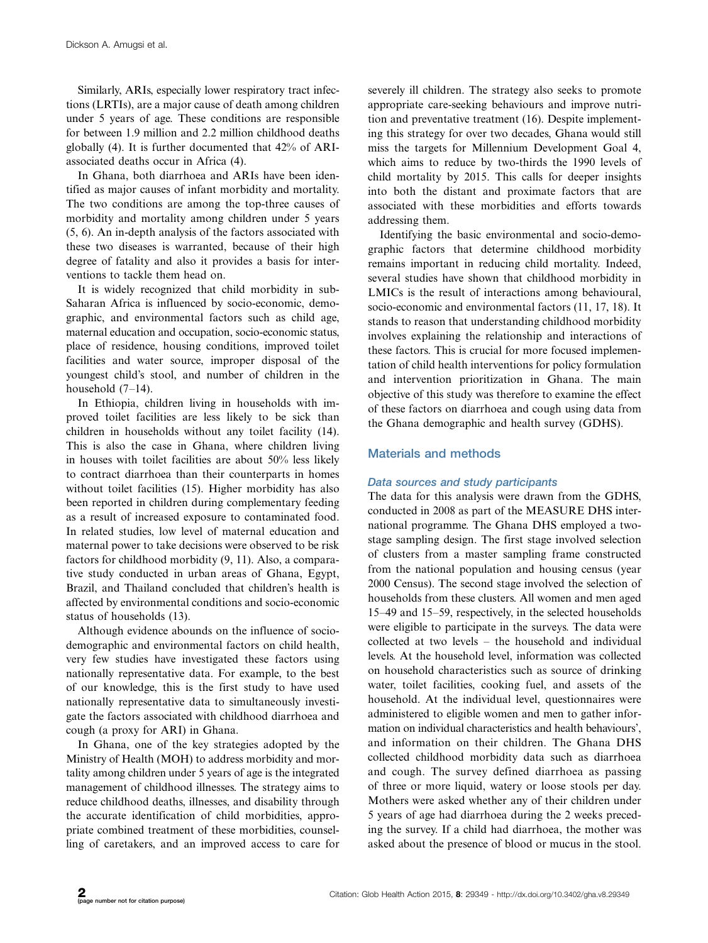Similarly, ARIs, especially lower respiratory tract infections (LRTIs), are a major cause of death among children under 5 years of age. These conditions are responsible for between 1.9 million and 2.2 million childhood deaths globally (4). It is further documented that 42% of ARIassociated deaths occur in Africa (4).

In Ghana, both diarrhoea and ARIs have been identified as major causes of infant morbidity and mortality. The two conditions are among the top-three causes of morbidity and mortality among children under 5 years (5, 6). An in-depth analysis of the factors associated with these two diseases is warranted, because of their high degree of fatality and also it provides a basis for interventions to tackle them head on.

It is widely recognized that child morbidity in sub-Saharan Africa is influenced by socio-economic, demographic, and environmental factors such as child age, maternal education and occupation, socio-economic status, place of residence, housing conditions, improved toilet facilities and water source, improper disposal of the youngest child's stool, and number of children in the household (7-14).

In Ethiopia, children living in households with improved toilet facilities are less likely to be sick than children in households without any toilet facility (14). This is also the case in Ghana, where children living in houses with toilet facilities are about 50% less likely to contract diarrhoea than their counterparts in homes without toilet facilities (15). Higher morbidity has also been reported in children during complementary feeding as a result of increased exposure to contaminated food. In related studies, low level of maternal education and maternal power to take decisions were observed to be risk factors for childhood morbidity (9, 11). Also, a comparative study conducted in urban areas of Ghana, Egypt, Brazil, and Thailand concluded that children's health is affected by environmental conditions and socio-economic status of households (13).

Although evidence abounds on the influence of sociodemographic and environmental factors on child health, very few studies have investigated these factors using nationally representative data. For example, to the best of our knowledge, this is the first study to have used nationally representative data to simultaneously investigate the factors associated with childhood diarrhoea and cough (a proxy for ARI) in Ghana.

In Ghana, one of the key strategies adopted by the Ministry of Health (MOH) to address morbidity and mortality among children under 5 years of age is the integrated management of childhood illnesses. The strategy aims to reduce childhood deaths, illnesses, and disability through the accurate identification of child morbidities, appropriate combined treatment of these morbidities, counselling of caretakers, and an improved access to care for severely ill children. The strategy also seeks to promote appropriate care-seeking behaviours and improve nutrition and preventative treatment (16). Despite implementing this strategy for over two decades, Ghana would still miss the targets for Millennium Development Goal 4, which aims to reduce by two-thirds the 1990 levels of child mortality by 2015. This calls for deeper insights into both the distant and proximate factors that are associated with these morbidities and efforts towards addressing them.

Identifying the basic environmental and socio-demographic factors that determine childhood morbidity remains important in reducing child mortality. Indeed, several studies have shown that childhood morbidity in LMICs is the result of interactions among behavioural, socio-economic and environmental factors (11, 17, 18). It stands to reason that understanding childhood morbidity involves explaining the relationship and interactions of these factors. This is crucial for more focused implementation of child health interventions for policy formulation and intervention prioritization in Ghana. The main objective of this study was therefore to examine the effect of these factors on diarrhoea and cough using data from the Ghana demographic and health survey (GDHS).

# Materials and methods

# Data sources and study participants

The data for this analysis were drawn from the GDHS, conducted in 2008 as part of the MEASURE DHS international programme. The Ghana DHS employed a twostage sampling design. The first stage involved selection of clusters from a master sampling frame constructed from the national population and housing census (year 2000 Census). The second stage involved the selection of households from these clusters. All women and men aged 15-49 and 15-59, respectively, in the selected households were eligible to participate in the surveys. The data were collected at two levels - the household and individual levels. At the household level, information was collected on household characteristics such as source of drinking water, toilet facilities, cooking fuel, and assets of the household. At the individual level, questionnaires were administered to eligible women and men to gather information on individual characteristics and health behaviours', and information on their children. The Ghana DHS collected childhood morbidity data such as diarrhoea and cough. The survey defined diarrhoea as passing of three or more liquid, watery or loose stools per day. Mothers were asked whether any of their children under 5 years of age had diarrhoea during the 2 weeks preceding the survey. If a child had diarrhoea, the mother was asked about the presence of blood or mucus in the stool.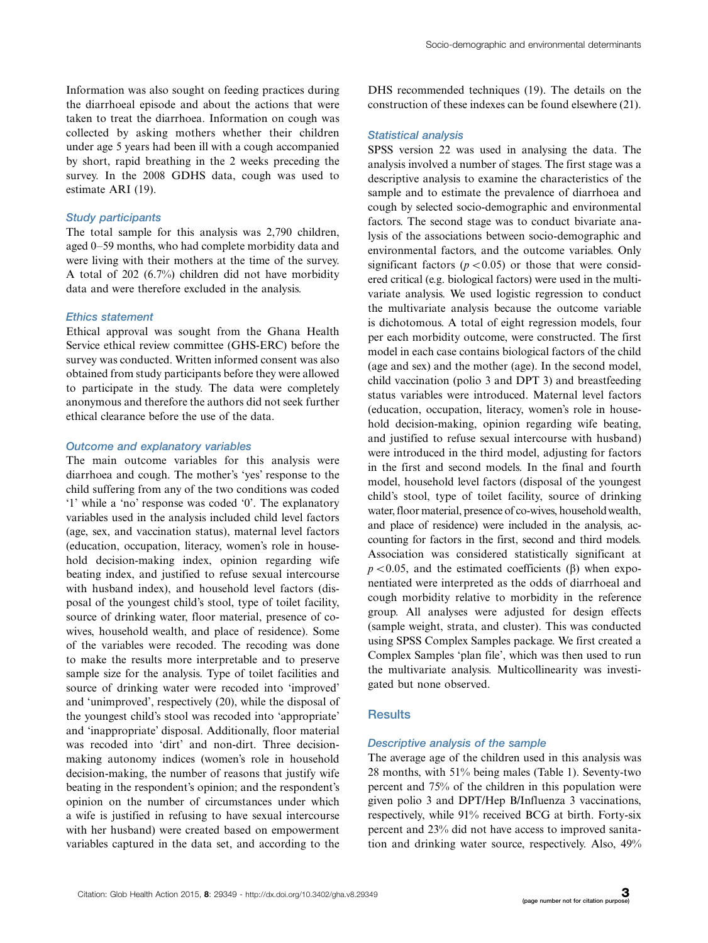Information was also sought on feeding practices during the diarrhoeal episode and about the actions that were taken to treat the diarrhoea. Information on cough was collected by asking mothers whether their children under age 5 years had been ill with a cough accompanied by short, rapid breathing in the 2 weeks preceding the survey. In the 2008 GDHS data, cough was used to estimate ARI (19).

# Study participants

The total sample for this analysis was 2,790 children, aged 0-59 months, who had complete morbidity data and were living with their mothers at the time of the survey. A total of 202 (6.7%) children did not have morbidity data and were therefore excluded in the analysis.

# Ethics statement

Ethical approval was sought from the Ghana Health Service ethical review committee (GHS-ERC) before the survey was conducted. Written informed consent was also obtained from study participants before they were allowed to participate in the study. The data were completely anonymous and therefore the authors did not seek further ethical clearance before the use of the data.

#### Outcome and explanatory variables

The main outcome variables for this analysis were diarrhoea and cough. The mother's 'yes' response to the child suffering from any of the two conditions was coded '1' while a 'no' response was coded '0'. The explanatory variables used in the analysis included child level factors (age, sex, and vaccination status), maternal level factors (education, occupation, literacy, women's role in household decision-making index, opinion regarding wife beating index, and justified to refuse sexual intercourse with husband index), and household level factors (disposal of the youngest child's stool, type of toilet facility, source of drinking water, floor material, presence of cowives, household wealth, and place of residence). Some of the variables were recoded. The recoding was done to make the results more interpretable and to preserve sample size for the analysis. Type of toilet facilities and source of drinking water were recoded into 'improved' and 'unimproved', respectively (20), while the disposal of the youngest child's stool was recoded into 'appropriate' and 'inappropriate' disposal. Additionally, floor material was recoded into 'dirt' and non-dirt. Three decisionmaking autonomy indices (women's role in household decision-making, the number of reasons that justify wife beating in the respondent's opinion; and the respondent's opinion on the number of circumstances under which a wife is justified in refusing to have sexual intercourse with her husband) were created based on empowerment variables captured in the data set, and according to the

DHS recommended techniques (19). The details on the construction of these indexes can be found elsewhere (21).

#### Statistical analysis

SPSS version 22 was used in analysing the data. The analysis involved a number of stages. The first stage was a descriptive analysis to examine the characteristics of the sample and to estimate the prevalence of diarrhoea and cough by selected socio-demographic and environmental factors. The second stage was to conduct bivariate analysis of the associations between socio-demographic and environmental factors, and the outcome variables. Only significant factors ( $p < 0.05$ ) or those that were considered critical (e.g. biological factors) were used in the multivariate analysis. We used logistic regression to conduct the multivariate analysis because the outcome variable is dichotomous. A total of eight regression models, four per each morbidity outcome, were constructed. The first model in each case contains biological factors of the child (age and sex) and the mother (age). In the second model, child vaccination (polio 3 and DPT 3) and breastfeeding status variables were introduced. Maternal level factors (education, occupation, literacy, women's role in household decision-making, opinion regarding wife beating, and justified to refuse sexual intercourse with husband) were introduced in the third model, adjusting for factors in the first and second models. In the final and fourth model, household level factors (disposal of the youngest child's stool, type of toilet facility, source of drinking water, floor material, presence of co-wives, household wealth, and place of residence) were included in the analysis, accounting for factors in the first, second and third models. Association was considered statistically significant at  $p < 0.05$ , and the estimated coefficients ( $\beta$ ) when exponentiated were interpreted as the odds of diarrhoeal and cough morbidity relative to morbidity in the reference group. All analyses were adjusted for design effects (sample weight, strata, and cluster). This was conducted using SPSS Complex Samples package. We first created a Complex Samples 'plan file', which was then used to run the multivariate analysis. Multicollinearity was investigated but none observed.

# **Results**

#### Descriptive analysis of the sample

The average age of the children used in this analysis was 28 months, with 51% being males (Table 1). Seventy-two percent and 75% of the children in this population were given polio 3 and DPT/Hep B/Influenza 3 vaccinations, respectively, while 91% received BCG at birth. Forty-six percent and 23% did not have access to improved sanitation and drinking water source, respectively. Also, 49%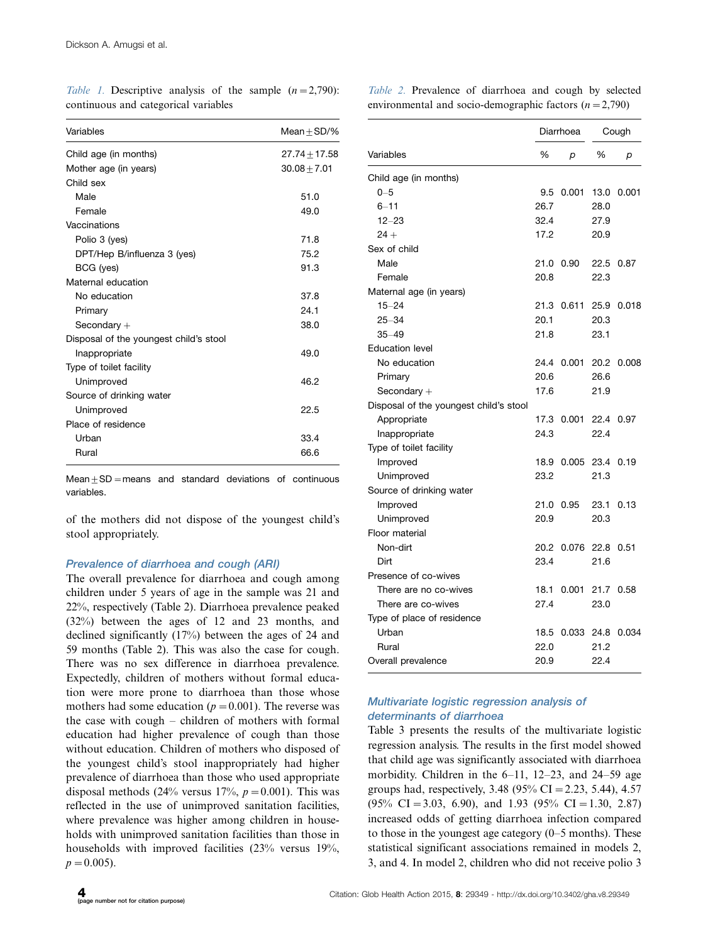Table 1. Descriptive analysis of the sample  $(n=2,790)$ : continuous and categorical variables

Table 2. Prevalence of diarrhoea and cough by selected environmental and socio-demographic factors  $(n=2,790)$ 

| Variables                              | Mean $+$ SD/%   |
|----------------------------------------|-----------------|
| Child age (in months)                  | $27.74 + 17.58$ |
| Mother age (in years)                  | $30.08 + 7.01$  |
| Child sex                              |                 |
| Male                                   | 51.0            |
| Female                                 | 49.0            |
| Vaccinations                           |                 |
| Polio 3 (yes)                          | 71.8            |
| DPT/Hep B/influenza 3 (yes)            | 75.2            |
| BCG (yes)                              | 91.3            |
| Maternal education                     |                 |
| No education                           | 37.8            |
| Primary                                | 24.1            |
| Secondary $+$                          | 38.0            |
| Disposal of the youngest child's stool |                 |
| Inappropriate                          | 49.0            |
| Type of toilet facility                |                 |
| Unimproved                             | 46.2            |
| Source of drinking water               |                 |
| Unimproved                             | 22.5            |
| Place of residence                     |                 |
| Urban                                  | 33.4            |
| Rural                                  | 66.6            |

 $Mean + SD = means$  and standard deviations of continuous variables.

of the mothers did not dispose of the youngest child's stool appropriately.

# Prevalence of diarrhoea and cough (ARI)

The overall prevalence for diarrhoea and cough among children under 5 years of age in the sample was 21 and 22%, respectively (Table 2). Diarrhoea prevalence peaked (32%) between the ages of 12 and 23 months, and declined significantly (17%) between the ages of 24 and 59 months (Table 2). This was also the case for cough. There was no sex difference in diarrhoea prevalence. Expectedly, children of mothers without formal education were more prone to diarrhoea than those whose mothers had some education ( $p=0.001$ ). The reverse was the case with cough - children of mothers with formal education had higher prevalence of cough than those without education. Children of mothers who disposed of the youngest child's stool inappropriately had higher prevalence of diarrhoea than those who used appropriate disposal methods (24% versus 17%,  $p=0.001$ ). This was reflected in the use of unimproved sanitation facilities, where prevalence was higher among children in households with unimproved sanitation facilities than those in households with improved facilities (23% versus 19%,  $p=0.005$ ).

|                                        |      | Diarrhoea        |      | Cough |
|----------------------------------------|------|------------------|------|-------|
| Variables                              | %    | р                | %    | р     |
| Child age (in months)                  |      |                  |      |       |
| $0 - 5$                                | 9.5  | 0.001 13.0 0.001 |      |       |
| $6 - 11$                               | 26.7 |                  | 28.0 |       |
| $12 - 23$                              | 32.4 |                  | 27.9 |       |
| $24 +$                                 | 17.2 |                  | 20.9 |       |
| Sex of child                           |      |                  |      |       |
| Male                                   | 21.0 | 0.90             | 22.5 | 0.87  |
| Female                                 | 20.8 |                  | 22.3 |       |
| Maternal age (in years)                |      |                  |      |       |
| $15 - 24$                              | 21.3 | 0.611 25.9       |      | 0.018 |
| $25 - 34$                              | 20.1 |                  | 20.3 |       |
| $35 - 49$                              | 21.8 |                  | 23.1 |       |
| <b>Education level</b>                 |      |                  |      |       |
| No education                           | 24.4 | 0.001            | 20.2 | 0.008 |
| Primary                                | 20.6 |                  | 26.6 |       |
| Secondary $+$                          | 17.6 |                  | 21.9 |       |
| Disposal of the youngest child's stool |      |                  |      |       |
| Appropriate                            | 17.3 | 0.001            | 22.4 | 0.97  |
| Inappropriate                          | 24.3 |                  | 22.4 |       |
| Type of toilet facility                |      |                  |      |       |
| Improved                               | 18.9 | 0.005 23.4       |      | 0.19  |
| Unimproved                             | 23.2 |                  | 21.3 |       |
| Source of drinking water               |      |                  |      |       |
| Improved                               | 21.0 | 0.95             | 23.1 | 0.13  |
| Unimproved                             | 20.9 |                  | 20.3 |       |
| Floor material                         |      |                  |      |       |
| Non-dirt                               | 20.2 | 0.076 22.8       |      | 0.51  |
| Dirt                                   | 23.4 |                  | 21.6 |       |
| Presence of co-wives                   |      |                  |      |       |
| There are no co-wives                  | 18.1 | 0.001            | 21.7 | 0.58  |
| There are co-wives                     | 27.4 |                  | 23.0 |       |
| Type of place of residence             |      |                  |      |       |
| Urban                                  | 18.5 | 0.033 24.8       |      | 0.034 |
| Rural                                  | 22.0 |                  | 21.2 |       |
| Overall prevalence                     | 20.9 |                  | 22.4 |       |

# Multivariate logistic regression analysis of determinants of diarrhoea

Table 3 presents the results of the multivariate logistic regression analysis. The results in the first model showed that child age was significantly associated with diarrhoea morbidity. Children in the 6-11, 12-23, and 24-59 age groups had, respectively,  $3.48$  ( $95\%$  CI = 2.23, 5.44), 4.57  $(95\% \text{ CI} = 3.03, 6.90), \text{ and } 1.93 \ (95\% \text{ CI} = 1.30, 2.87)$ increased odds of getting diarrhoea infection compared to those in the youngest age category (0-5 months). These statistical significant associations remained in models 2, 3, and 4. In model 2, children who did not receive polio 3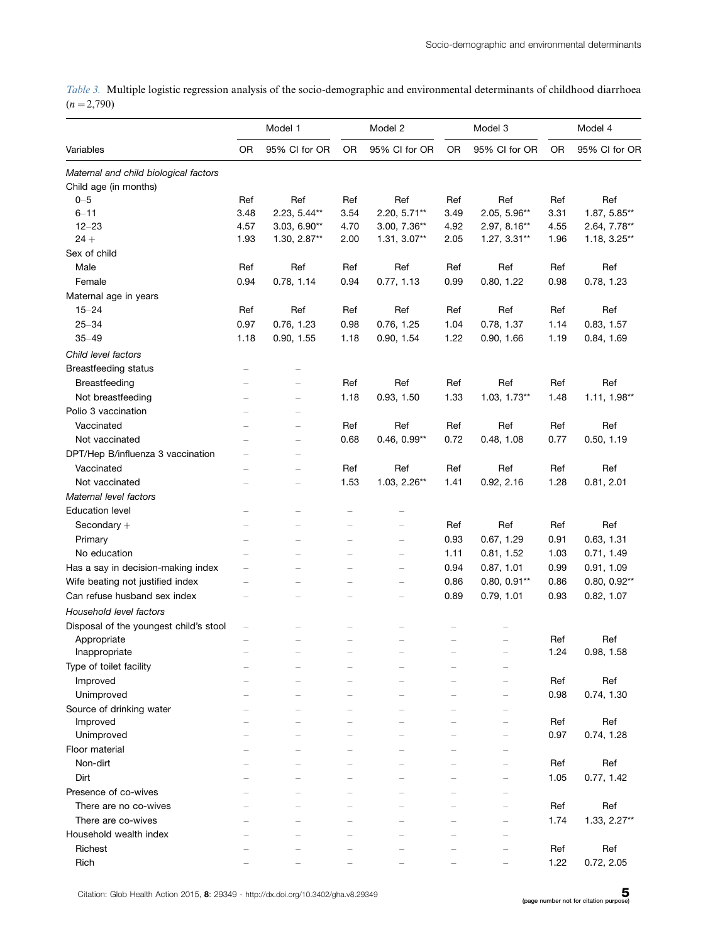Table 3. Multiple logistic regression analysis of the socio-demographic and environmental determinants of childhood diarrhoea  $(n=2,790)$ 

|                                        | Model 1                  |                          | Model 2                  |                | Model 3   |                          | Model 4 |                |
|----------------------------------------|--------------------------|--------------------------|--------------------------|----------------|-----------|--------------------------|---------|----------------|
| Variables                              | 0R                       | 95% CI for OR            | 0R                       | 95% CI for OR  | <b>OR</b> | 95% CI for OR            | OR      | 95% CI for OR  |
| Maternal and child biological factors  |                          |                          |                          |                |           |                          |         |                |
| Child age (in months)                  |                          |                          |                          |                |           |                          |         |                |
| $0 - 5$                                | Ref                      | Ref                      | Ref                      | Ref            | Ref       | Ref                      | Ref     | Ref            |
| $6 - 11$                               | 3.48                     | 2.23, 5.44**             | 3.54                     | 2.20, 5.71**   | 3.49      | 2.05, 5.96**             | 3.31    | 1.87, 5.85**   |
| $12 - 23$                              | 4.57                     | 3.03, 6.90**             | 4.70                     | 3.00, 7.36**   | 4.92      | 2.97, 8.16**             | 4.55    | 2.64, 7.78**   |
| $24 +$                                 | 1.93                     | 1.30, 2.87**             | 2.00                     | 1.31, 3.07**   | 2.05      | $1.27, 3.31**$           | 1.96    | 1.18, 3.25**   |
| Sex of child                           |                          |                          |                          |                |           |                          |         |                |
| Male                                   | Ref                      | Ref                      | Ref                      | Ref            | Ref       | Ref                      | Ref     | Ref            |
| Female                                 | 0.94                     | 0.78, 1.14               | 0.94                     | 0.77, 1.13     | 0.99      | 0.80, 1.22               | 0.98    | 0.78, 1.23     |
| Maternal age in years                  |                          |                          |                          |                |           |                          |         |                |
| $15 - 24$                              | Ref                      | Ref                      | Ref                      | Ref            | Ref       | Ref                      | Ref     | Ref            |
| $25 - 34$                              | 0.97                     | 0.76, 1.23               | 0.98                     | 0.76, 1.25     | 1.04      | 0.78, 1.37               | 1.14    | 0.83, 1.57     |
| $35 - 49$                              | 1.18                     | 0.90, 1.55               | 1.18                     | 0.90, 1.54     | 1.22      | 0.90, 1.66               | 1.19    | 0.84, 1.69     |
| Child level factors                    |                          |                          |                          |                |           |                          |         |                |
| <b>Breastfeeding status</b>            |                          |                          |                          |                |           |                          |         |                |
| Breastfeeding                          |                          |                          | Ref                      | Ref            | Ref       | Ref                      | Ref     | Ref            |
| Not breastfeeding                      |                          |                          | 1.18                     | 0.93, 1.50     | 1.33      | 1.03, 1.73**             | 1.48    | $1.11, 1.98**$ |
| Polio 3 vaccination                    |                          |                          |                          |                |           |                          |         |                |
|                                        |                          |                          |                          |                |           |                          |         |                |
| Vaccinated                             |                          |                          | Ref                      | Ref            | Ref       | Ref                      | Ref     | Ref            |
| Not vaccinated                         |                          |                          | 0.68                     | $0.46, 0.99**$ | 0.72      | 0.48, 1.08               | 0.77    | 0.50, 1.19     |
| DPT/Hep B/influenza 3 vaccination      |                          |                          |                          |                |           |                          |         |                |
| Vaccinated                             |                          |                          | Ref                      | Ref            | Ref       | Ref                      | Ref     | Ref            |
| Not vaccinated                         |                          |                          | 1.53                     | 1.03, 2.26**   | 1.41      | 0.92, 2.16               | 1.28    | 0.81, 2.01     |
| Maternal level factors                 |                          |                          |                          |                |           |                          |         |                |
| <b>Education level</b>                 |                          |                          |                          |                |           |                          |         |                |
| Secondary $+$                          | $\overline{\phantom{0}}$ | ÷                        | $\overline{\phantom{0}}$ | $\equiv$       | Ref       | Ref                      | Ref     | Ref            |
| Primary                                |                          |                          |                          | $\equiv$       | 0.93      | 0.67, 1.29               | 0.91    | 0.63, 1.31     |
| No education                           |                          | $\overline{\phantom{0}}$ | $\overline{\phantom{0}}$ | $\equiv$       | 1.11      | 0.81, 1.52               | 1.03    | 0.71, 1.49     |
| Has a say in decision-making index     |                          |                          |                          |                | 0.94      | 0.87, 1.01               | 0.99    | 0.91, 1.09     |
| Wife beating not justified index       |                          |                          | $\overline{\phantom{0}}$ | $\equiv$       | 0.86      | $0.80, 0.91**$           | 0.86    | $0.80, 0.92**$ |
| Can refuse husband sex index           |                          |                          |                          | $\equiv$       | 0.89      | 0.79, 1.01               | 0.93    | 0.82, 1.07     |
| Household level factors                |                          |                          |                          |                |           |                          |         |                |
| Disposal of the youngest child's stool | $\overline{\phantom{0}}$ |                          |                          |                |           |                          |         |                |
| Appropriate                            |                          |                          |                          |                |           |                          | Ref     | Ref            |
| Inappropriate                          |                          |                          |                          |                |           | $\overline{\phantom{0}}$ | 1.24    | 0.98, 1.58     |
| Type of toilet facility                |                          |                          |                          |                |           |                          |         |                |
| Improved                               |                          |                          |                          |                |           | $\overline{\phantom{0}}$ | Ref     | Ref            |
| Unimproved                             |                          |                          |                          |                |           | $\overline{\phantom{0}}$ | 0.98    | 0.74, 1.30     |
| Source of drinking water               |                          |                          |                          |                |           |                          |         |                |
| Improved                               |                          |                          |                          |                |           | -                        | Ref     | Ref            |
| Unimproved                             |                          |                          |                          |                |           | $\overline{\phantom{0}}$ | 0.97    | 0.74, 1.28     |
| Floor material                         |                          |                          |                          |                |           |                          |         |                |
| Non-dirt                               |                          |                          |                          |                |           | $\overline{\phantom{0}}$ | Ref     | Ref            |
| Dirt                                   |                          |                          |                          |                |           | $\overline{\phantom{0}}$ | 1.05    | 0.77, 1.42     |
| Presence of co-wives                   |                          |                          |                          |                |           |                          |         |                |
| There are no co-wives                  |                          |                          |                          |                |           | -                        | Ref     | Ref            |
| There are co-wives                     |                          |                          |                          |                |           |                          | 1.74    | $1.33, 2.27**$ |
| Household wealth index                 |                          |                          |                          |                |           | -                        |         |                |
| Richest                                |                          |                          |                          |                |           |                          | Ref     | Ref            |
| Rich                                   |                          |                          |                          |                |           |                          | 1.22    | 0.72, 2.05     |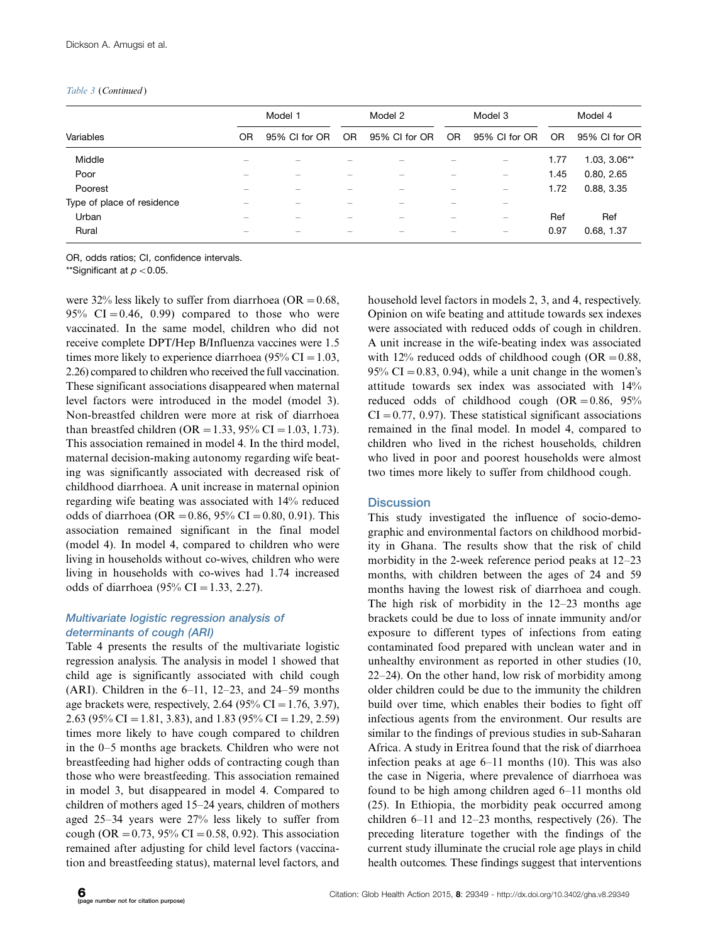#### Table 3 (Continued)

|                            |                          | Model 1       |     | Model 2                  |     | Model 3                  |      | Model 4        |  |
|----------------------------|--------------------------|---------------|-----|--------------------------|-----|--------------------------|------|----------------|--|
| Variables                  | OR                       | 95% CI for OR | OR. | 95% CI for OR            | OR. | 95% CI for OR            | OR.  | 95% CI for OR  |  |
| Middle                     |                          |               |     |                          |     |                          | 1.77 | $1.03, 3.06**$ |  |
| Poor                       | $\overline{\phantom{0}}$ | -             |     | $\overline{\phantom{0}}$ | —   | $\overline{\phantom{m}}$ | 1.45 | 0.80, 2.65     |  |
| Poorest                    |                          |               |     |                          |     |                          | 1.72 | 0.88, 3.35     |  |
| Type of place of residence | $\overline{\phantom{0}}$ | -             |     | –                        |     | –                        |      |                |  |
| Urban                      |                          |               |     |                          |     |                          | Ref  | Ref            |  |
| Rural                      |                          |               |     |                          |     |                          | 0.97 | 0.68, 1.37     |  |

OR, odds ratios; CI, confidence intervals.

\*\*Significant at  $p < 0.05$ .

were 32% less likely to suffer from diarrhoea (OR =  $0.68$ , 95% CI = 0.46, 0.99) compared to those who were vaccinated. In the same model, children who did not receive complete DPT/Hep B/Influenza vaccines were 1.5 times more likely to experience diarrhoea (95% CI =  $1.03$ , 2.26) compared to children who received the full vaccination. These significant associations disappeared when maternal level factors were introduced in the model (model 3). Non-breastfed children were more at risk of diarrhoea than breastfed children (OR = 1.33, 95% CI = 1.03, 1.73). This association remained in model 4. In the third model, maternal decision-making autonomy regarding wife beating was significantly associated with decreased risk of childhood diarrhoea. A unit increase in maternal opinion regarding wife beating was associated with 14% reduced odds of diarrhoea (OR = 0.86, 95% CI = 0.80, 0.91). This association remained significant in the final model (model 4). In model 4, compared to children who were living in households without co-wives, children who were living in households with co-wives had 1.74 increased odds of diarrhoea (95% CI = 1.33, 2.27).

# Multivariate logistic regression analysis of determinants of cough (ARI)

Table 4 presents the results of the multivariate logistic regression analysis. The analysis in model 1 showed that child age is significantly associated with child cough (ARI). Children in the 6-11, 12-23, and 24-59 months age brackets were, respectively, 2.64 (95% CI = 1.76, 3.97), 2.63 (95% CI = 1.81, 3.83), and 1.83 (95% CI = 1.29, 2.59) times more likely to have cough compared to children in the 0-5 months age brackets. Children who were not breastfeeding had higher odds of contracting cough than those who were breastfeeding. This association remained in model 3, but disappeared in model 4. Compared to children of mothers aged 15-24 years, children of mothers aged 25-34 years were 27% less likely to suffer from cough (OR = 0.73, 95% CI = 0.58, 0.92). This association remained after adjusting for child level factors (vaccination and breastfeeding status), maternal level factors, and

household level factors in models 2, 3, and 4, respectively. Opinion on wife beating and attitude towards sex indexes were associated with reduced odds of cough in children. A unit increase in the wife-beating index was associated with 12% reduced odds of childhood cough (OR =  $0.88$ ,  $95\% \text{ CI} = 0.83, 0.94$ , while a unit change in the women's attitude towards sex index was associated with 14% reduced odds of childhood cough  $(OR = 0.86, 95\%)$  $CI = 0.77, 0.97$ . These statistical significant associations remained in the final model. In model 4, compared to children who lived in the richest households, children who lived in poor and poorest households were almost two times more likely to suffer from childhood cough.

# **Discussion**

This study investigated the influence of socio-demographic and environmental factors on childhood morbidity in Ghana. The results show that the risk of child morbidity in the 2-week reference period peaks at 12-23 months, with children between the ages of 24 and 59 months having the lowest risk of diarrhoea and cough. The high risk of morbidity in the 12-23 months age brackets could be due to loss of innate immunity and/or exposure to different types of infections from eating contaminated food prepared with unclean water and in unhealthy environment as reported in other studies (10, 22-24). On the other hand, low risk of morbidity among older children could be due to the immunity the children build over time, which enables their bodies to fight off infectious agents from the environment. Our results are similar to the findings of previous studies in sub-Saharan Africa. A study in Eritrea found that the risk of diarrhoea infection peaks at age 6-11 months (10). This was also the case in Nigeria, where prevalence of diarrhoea was found to be high among children aged 6-11 months old (25). In Ethiopia, the morbidity peak occurred among children 6-11 and 12-23 months, respectively (26). The preceding literature together with the findings of the current study illuminate the crucial role age plays in child health outcomes. These findings suggest that interventions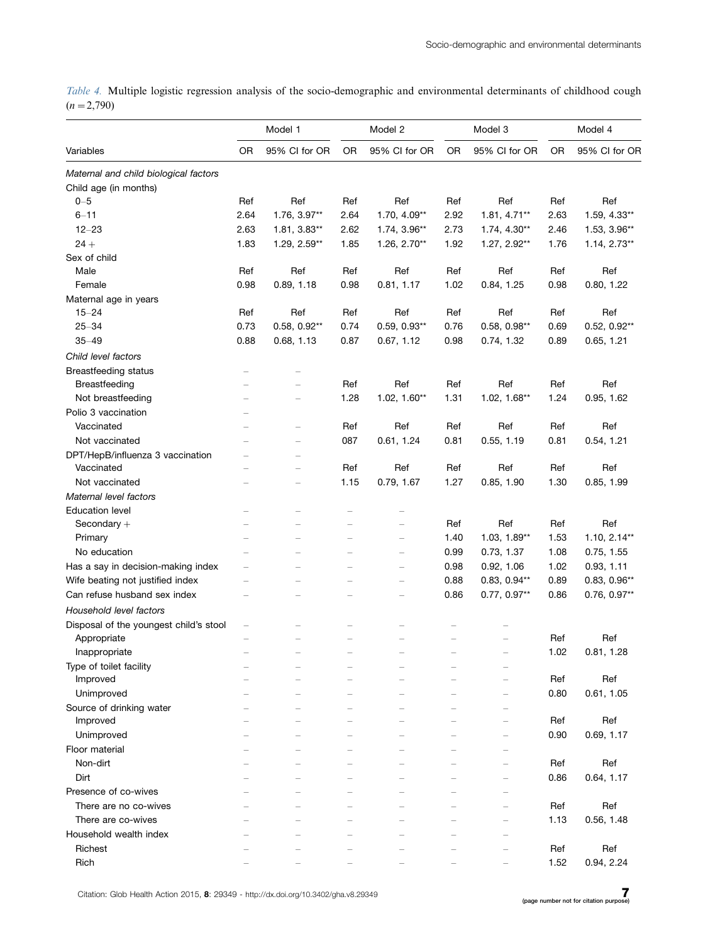Table 4. Multiple logistic regression analysis of the socio-demographic and environmental determinants of childhood cough  $(n=2,790)$ 

|                                         |                          | Model 1                  |      | Model 2                  | Model 3 |                          | Model 4   |                |
|-----------------------------------------|--------------------------|--------------------------|------|--------------------------|---------|--------------------------|-----------|----------------|
| Variables                               | <b>OR</b>                | 95% CI for OR            | 0R   | 95% CI for OR            | OR      | 95% CI for OR            | <b>OR</b> | 95% CI for OR  |
| Maternal and child biological factors   |                          |                          |      |                          |         |                          |           |                |
| Child age (in months)                   |                          |                          |      |                          |         |                          |           |                |
| $0 - 5$                                 | Ref                      | Ref                      | Ref  | Ref                      | Ref     | Ref                      | Ref       | Ref            |
| $6 - 11$                                | 2.64                     | 1.76, 3.97**             | 2.64 | 1.70, 4.09**             | 2.92    | 1.81, 4.71**             | 2.63      | 1.59, 4.33**   |
| $12 - 23$                               | 2.63                     | 1.81, 3.83**             | 2.62 | 1.74, 3.96**             | 2.73    | $1.74, 4.30**$           | 2.46      | 1.53, 3.96**   |
| $24 +$                                  | 1.83                     | 1.29, 2.59**             | 1.85 | 1.26, 2.70**             | 1.92    | 1.27, 2.92**             | 1.76      | $1.14, 2.73**$ |
| Sex of child                            |                          |                          |      |                          |         |                          |           |                |
| Male                                    | Ref                      | Ref                      | Ref  | Ref                      | Ref     | Ref                      | Ref       | Ref            |
| Female                                  | 0.98                     | 0.89, 1.18               | 0.98 | 0.81, 1.17               | 1.02    | 0.84, 1.25               | 0.98      | 0.80, 1.22     |
| Maternal age in years                   |                          |                          |      |                          |         |                          |           |                |
| $15 - 24$                               | Ref                      | Ref                      | Ref  | Ref                      | Ref     | Ref                      | Ref       | Ref            |
| $25 - 34$                               | 0.73                     | $0.58, 0.92**$           | 0.74 | $0.59, 0.93**$           | 0.76    | $0.58, 0.98**$           | 0.69      | $0.52, 0.92**$ |
| $35 - 49$                               | 0.88                     | 0.68, 1.13               | 0.87 | 0.67, 1.12               | 0.98    | 0.74, 1.32               | 0.89      | 0.65, 1.21     |
| Child level factors                     |                          |                          |      |                          |         |                          |           |                |
| <b>Breastfeeding status</b>             |                          |                          |      |                          |         |                          |           |                |
| Breastfeeding                           |                          |                          | Ref  | Ref                      | Ref     | Ref                      | Ref       | Ref            |
| Not breastfeeding                       |                          |                          | 1.28 | $1.02, 1.60**$           | 1.31    | $1.02, 1.68**$           | 1.24      | 0.95, 1.62     |
| Polio 3 vaccination                     |                          |                          |      |                          |         |                          |           |                |
| Vaccinated                              |                          | $\overline{\phantom{0}}$ | Ref  | Ref                      | Ref     | Ref                      | Ref       | Ref            |
| Not vaccinated                          |                          | $\overline{\phantom{0}}$ | 087  | 0.61, 1.24               | 0.81    | 0.55, 1.19               | 0.81      | 0.54, 1.21     |
| DPT/HepB/influenza 3 vaccination        |                          |                          |      |                          |         |                          |           |                |
| Vaccinated                              |                          |                          | Ref  | Ref                      | Ref     | Ref                      | Ref       | Ref            |
| Not vaccinated                          |                          | $\overline{\phantom{0}}$ | 1.15 | 0.79, 1.67               | 1.27    | 0.85, 1.90               | 1.30      | 0.85, 1.99     |
| Maternal level factors                  |                          |                          |      |                          |         |                          |           |                |
|                                         |                          |                          |      |                          |         |                          |           |                |
| <b>Education level</b><br>Secondary $+$ | $\overline{\phantom{0}}$ |                          |      | $\overline{\phantom{0}}$ | Ref     | Ref                      | Ref       | Ref            |
|                                         | $\overline{\phantom{0}}$ | $\equiv$                 | L    | $\overline{\phantom{0}}$ |         | $1.03, 1.89**$           | 1.53      |                |
| Primary                                 |                          |                          |      |                          | 1.40    |                          |           | $1.10, 2.14**$ |
| No education                            |                          |                          |      | $\equiv$                 | 0.99    | 0.73, 1.37               | 1.08      | 0.75, 1.55     |
| Has a say in decision-making index      | $\overline{\phantom{0}}$ |                          | L    | $\equiv$                 | 0.98    | 0.92, 1.06               | 1.02      | 0.93, 1.11     |
| Wife beating not justified index        |                          |                          |      | $\equiv$                 | 0.88    | $0.83, 0.94**$           | 0.89      | $0.83, 0.96**$ |
| Can refuse husband sex index            |                          |                          |      | $\overline{\phantom{0}}$ | 0.86    | 0.77, 0.97**             | 0.86      | 0.76, 0.97**   |
| Household level factors                 |                          |                          |      |                          |         |                          |           |                |
| Disposal of the youngest child's stool  | ÷                        |                          |      |                          |         |                          |           |                |
| Appropriate                             |                          |                          |      |                          |         |                          | Ref       | Ref            |
| Inappropriate                           |                          |                          |      |                          |         |                          | 1.02      | 0.81, 1.28     |
| Type of toilet facility                 |                          |                          |      |                          |         |                          |           |                |
| Improved                                |                          |                          |      |                          |         |                          | Ref       | Ref            |
| Unimproved                              |                          |                          |      |                          |         |                          | 0.80      | 0.61, 1.05     |
| Source of drinking water                |                          |                          |      |                          |         |                          |           |                |
| Improved                                |                          |                          |      |                          |         |                          | Ref       | Ref            |
| Unimproved                              |                          |                          |      |                          |         | $\overline{\phantom{0}}$ | 0.90      | 0.69, 1.17     |
| Floor material                          |                          |                          |      |                          |         |                          |           |                |
| Non-dirt                                |                          |                          |      |                          |         |                          | Ref       | Ref            |
| Dirt                                    |                          |                          |      |                          |         | $\overline{\phantom{0}}$ | 0.86      | 0.64, 1.17     |
| Presence of co-wives                    |                          |                          |      |                          |         |                          |           |                |
| There are no co-wives                   |                          |                          |      |                          |         |                          | Ref       | Ref            |
| There are co-wives                      |                          |                          |      |                          |         |                          | 1.13      | 0.56, 1.48     |
| Household wealth index                  |                          |                          |      |                          |         |                          |           |                |
| Richest                                 |                          |                          |      |                          |         |                          | Ref       | Ref            |
| Rich                                    |                          |                          |      |                          |         |                          | 1.52      | 0.94, 2.24     |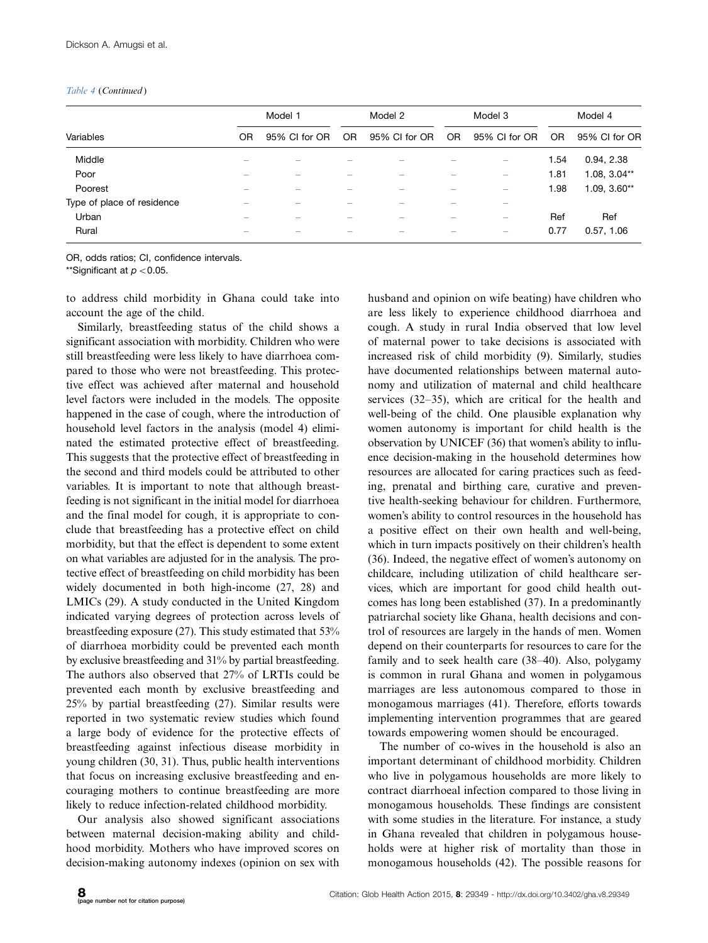#### Table 4 (Continued )

|                            |                          | Model 1                  |     | Model 2       |     | Model 3                        |      | Model 4        |  |
|----------------------------|--------------------------|--------------------------|-----|---------------|-----|--------------------------------|------|----------------|--|
| Variables                  | <b>OR</b>                | 95% CI for OR            | OR. | 95% CI for OR | OR. | 95% CI for OR                  | OR.  | 95% CI for OR  |  |
| Middle                     | -                        |                          |     |               |     |                                | 1.54 | 0.94, 2.38     |  |
| Poor                       | $\overline{\phantom{0}}$ | $\overline{\phantom{0}}$ |     | –             |     | $\qquad \qquad \longleftarrow$ | 1.81 | $1.08, 3.04**$ |  |
| Poorest                    |                          |                          |     |               |     |                                | 1.98 | $1.09, 3.60**$ |  |
| Type of place of residence | $\overline{\phantom{0}}$ | $\overline{\phantom{0}}$ |     | -             | -   | —                              |      |                |  |
| Urban                      |                          |                          |     |               |     | —                              | Ref  | Ref            |  |
| Rural                      |                          |                          |     |               |     |                                | 0.77 | 0.57, 1.06     |  |

OR, odds ratios; CI, confidence intervals.

\*\*Significant at  $p < 0.05$ .

to address child morbidity in Ghana could take into account the age of the child.

Similarly, breastfeeding status of the child shows a significant association with morbidity. Children who were still breastfeeding were less likely to have diarrhoea compared to those who were not breastfeeding. This protective effect was achieved after maternal and household level factors were included in the models. The opposite happened in the case of cough, where the introduction of household level factors in the analysis (model 4) eliminated the estimated protective effect of breastfeeding. This suggests that the protective effect of breastfeeding in the second and third models could be attributed to other variables. It is important to note that although breastfeeding is not significant in the initial model for diarrhoea and the final model for cough, it is appropriate to conclude that breastfeeding has a protective effect on child morbidity, but that the effect is dependent to some extent on what variables are adjusted for in the analysis. The protective effect of breastfeeding on child morbidity has been widely documented in both high-income (27, 28) and LMICs (29). A study conducted in the United Kingdom indicated varying degrees of protection across levels of breastfeeding exposure (27). This study estimated that 53% of diarrhoea morbidity could be prevented each month by exclusive breastfeeding and 31% by partial breastfeeding. The authors also observed that 27% of LRTIs could be prevented each month by exclusive breastfeeding and 25% by partial breastfeeding (27). Similar results were reported in two systematic review studies which found a large body of evidence for the protective effects of breastfeeding against infectious disease morbidity in young children (30, 31). Thus, public health interventions that focus on increasing exclusive breastfeeding and encouraging mothers to continue breastfeeding are more likely to reduce infection-related childhood morbidity.

Our analysis also showed significant associations between maternal decision-making ability and childhood morbidity. Mothers who have improved scores on decision-making autonomy indexes (opinion on sex with husband and opinion on wife beating) have children who are less likely to experience childhood diarrhoea and cough. A study in rural India observed that low level of maternal power to take decisions is associated with increased risk of child morbidity (9). Similarly, studies have documented relationships between maternal autonomy and utilization of maternal and child healthcare services (32-35), which are critical for the health and well-being of the child. One plausible explanation why women autonomy is important for child health is the observation by UNICEF (36) that women's ability to influence decision-making in the household determines how resources are allocated for caring practices such as feeding, prenatal and birthing care, curative and preventive health-seeking behaviour for children. Furthermore, women's ability to control resources in the household has a positive effect on their own health and well-being, which in turn impacts positively on their children's health (36). Indeed, the negative effect of women's autonomy on childcare, including utilization of child healthcare services, which are important for good child health outcomes has long been established (37). In a predominantly patriarchal society like Ghana, health decisions and control of resources are largely in the hands of men. Women depend on their counterparts for resources to care for the family and to seek health care (38-40). Also, polygamy is common in rural Ghana and women in polygamous marriages are less autonomous compared to those in monogamous marriages (41). Therefore, efforts towards implementing intervention programmes that are geared towards empowering women should be encouraged.

The number of co-wives in the household is also an important determinant of childhood morbidity. Children who live in polygamous households are more likely to contract diarrhoeal infection compared to those living in monogamous households. These findings are consistent with some studies in the literature. For instance, a study in Ghana revealed that children in polygamous households were at higher risk of mortality than those in monogamous households (42). The possible reasons for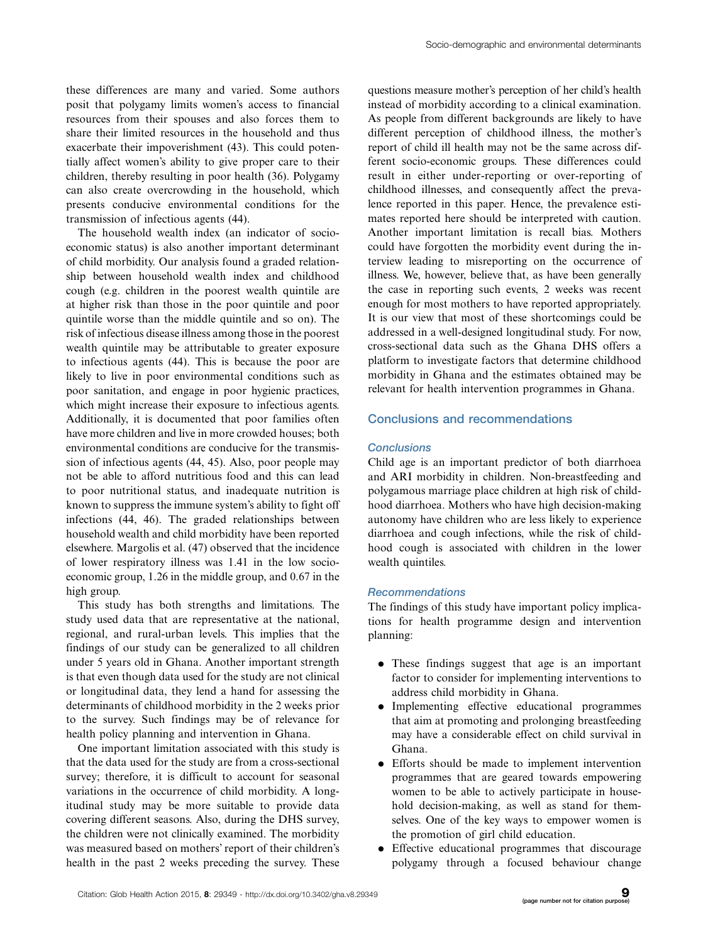these differences are many and varied. Some authors posit that polygamy limits women's access to financial resources from their spouses and also forces them to share their limited resources in the household and thus exacerbate their impoverishment (43). This could potentially affect women's ability to give proper care to their children, thereby resulting in poor health (36). Polygamy can also create overcrowding in the household, which presents conducive environmental conditions for the transmission of infectious agents (44).

The household wealth index (an indicator of socioeconomic status) is also another important determinant of child morbidity. Our analysis found a graded relationship between household wealth index and childhood cough (e.g. children in the poorest wealth quintile are at higher risk than those in the poor quintile and poor quintile worse than the middle quintile and so on). The risk of infectious disease illness among those in the poorest wealth quintile may be attributable to greater exposure to infectious agents (44). This is because the poor are likely to live in poor environmental conditions such as poor sanitation, and engage in poor hygienic practices, which might increase their exposure to infectious agents. Additionally, it is documented that poor families often have more children and live in more crowded houses; both environmental conditions are conducive for the transmission of infectious agents (44, 45). Also, poor people may not be able to afford nutritious food and this can lead to poor nutritional status, and inadequate nutrition is known to suppress the immune system's ability to fight off infections (44, 46). The graded relationships between household wealth and child morbidity have been reported elsewhere. Margolis et al. (47) observed that the incidence of lower respiratory illness was 1.41 in the low socioeconomic group, 1.26 in the middle group, and 0.67 in the high group.

This study has both strengths and limitations. The study used data that are representative at the national, regional, and rural-urban levels. This implies that the findings of our study can be generalized to all children under 5 years old in Ghana. Another important strength is that even though data used for the study are not clinical or longitudinal data, they lend a hand for assessing the determinants of childhood morbidity in the 2 weeks prior to the survey. Such findings may be of relevance for health policy planning and intervention in Ghana.

One important limitation associated with this study is that the data used for the study are from a cross-sectional survey; therefore, it is difficult to account for seasonal variations in the occurrence of child morbidity. A longitudinal study may be more suitable to provide data covering different seasons. Also, during the DHS survey, the children were not clinically examined. The morbidity was measured based on mothers' report of their children's health in the past 2 weeks preceding the survey. These questions measure mother's perception of her child's health instead of morbidity according to a clinical examination. As people from different backgrounds are likely to have different perception of childhood illness, the mother's report of child ill health may not be the same across different socio-economic groups. These differences could result in either under-reporting or over-reporting of childhood illnesses, and consequently affect the prevalence reported in this paper. Hence, the prevalence estimates reported here should be interpreted with caution. Another important limitation is recall bias. Mothers could have forgotten the morbidity event during the interview leading to misreporting on the occurrence of illness. We, however, believe that, as have been generally the case in reporting such events, 2 weeks was recent enough for most mothers to have reported appropriately. It is our view that most of these shortcomings could be addressed in a well-designed longitudinal study. For now, cross-sectional data such as the Ghana DHS offers a platform to investigate factors that determine childhood morbidity in Ghana and the estimates obtained may be relevant for health intervention programmes in Ghana.

### Conclusions and recommendations

#### **Conclusions**

Child age is an important predictor of both diarrhoea and ARI morbidity in children. Non-breastfeeding and polygamous marriage place children at high risk of childhood diarrhoea. Mothers who have high decision-making autonomy have children who are less likely to experience diarrhoea and cough infections, while the risk of childhood cough is associated with children in the lower wealth quintiles.

#### Recommendations

The findings of this study have important policy implications for health programme design and intervention planning:

- . These findings suggest that age is an important factor to consider for implementing interventions to address child morbidity in Ghana.
- . Implementing effective educational programmes that aim at promoting and prolonging breastfeeding may have a considerable effect on child survival in Ghana.
- . Efforts should be made to implement intervention programmes that are geared towards empowering women to be able to actively participate in household decision-making, as well as stand for themselves. One of the key ways to empower women is the promotion of girl child education.
- . Effective educational programmes that discourage polygamy through a focused behaviour change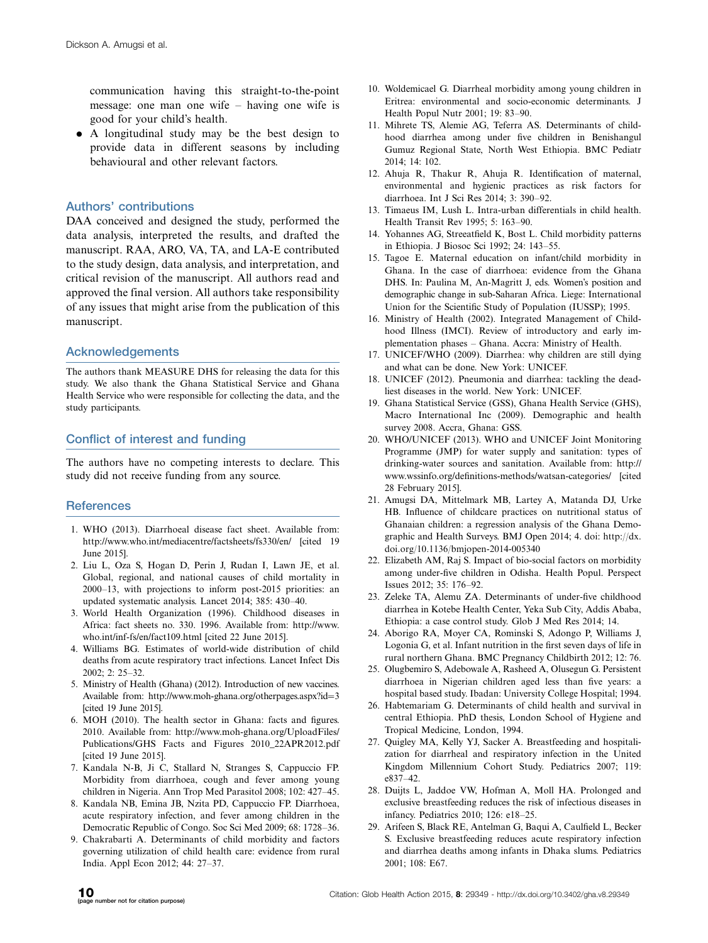communication having this straight-to-the-point message: one man one wife - having one wife is good for your child's health.

. A longitudinal study may be the best design to provide data in different seasons by including behavioural and other relevant factors.

# Authors' contributions

DAA conceived and designed the study, performed the data analysis, interpreted the results, and drafted the manuscript. RAA, ARO, VA, TA, and LA-E contributed to the study design, data analysis, and interpretation, and critical revision of the manuscript. All authors read and approved the final version. All authors take responsibility of any issues that might arise from the publication of this manuscript.

#### Acknowledgements

The authors thank MEASURE DHS for releasing the data for this study. We also thank the Ghana Statistical Service and Ghana Health Service who were responsible for collecting the data, and the study participants.

# Conflict of interest and funding

The authors have no competing interests to declare. This study did not receive funding from any source.

# **References**

- 1. WHO (2013). Diarrhoeal disease fact sheet. Available from: <http://www.who.int/mediacentre/factsheets/fs330/en/> [cited 19 June 2015].
- 2. Liu L, Oza S, Hogan D, Perin J, Rudan I, Lawn JE, et al. Global, regional, and national causes of child mortality in 2000-13, with projections to inform post-2015 priorities: an updated systematic analysis. Lancet 2014; 385: 430-40.
- 3. World Health Organization (1996). Childhood diseases in Africa: fact sheets no. 330. 1996. Available from: [http://www.](http://www.who.int/inf-fs/en/fact109.html) [who.int/inf-fs/en/fact109.html](http://www.who.int/inf-fs/en/fact109.html) [cited 22 June 2015].
- 4. Williams BG. Estimates of world-wide distribution of child deaths from acute respiratory tract infections. Lancet Infect Dis 2002; 2: 25-32.
- 5. Ministry of Health (Ghana) (2012). Introduction of new vaccines. Available from: [http://www.moh-ghana.org/otherpages.aspx?id](http://www.moh-ghana.org/otherpages.aspx?id=3)=[3](http://www.moh-ghana.org/otherpages.aspx?id=3) [cited 19 June 2015].
- 6. MOH (2010). The health sector in Ghana: facts and figures. 2010. Available from: [http://www.moh-ghana.org/UploadFiles/](http://www.moh-ghana.org/UploadFiles/Publications/GHS Facts and Figures 2010_22APR2012.pdf) [Publications/GHS Facts and Figures 2010\\_22APR2012.pdf](http://www.moh-ghana.org/UploadFiles/Publications/GHS Facts and Figures 2010_22APR2012.pdf) [cited 19 June 2015].
- 7. Kandala N-B, Ji C, Stallard N, Stranges S, Cappuccio FP. Morbidity from diarrhoea, cough and fever among young children in Nigeria. Ann Trop Med Parasitol 2008; 102: 427-45.
- 8. Kandala NB, Emina JB, Nzita PD, Cappuccio FP. Diarrhoea, acute respiratory infection, and fever among children in the Democratic Republic of Congo. Soc Sci Med 2009; 68: 1728-36.
- 9. Chakrabarti A. Determinants of child morbidity and factors governing utilization of child health care: evidence from rural India. Appl Econ 2012; 44: 27-37.
- 10. Woldemicael G. Diarrheal morbidity among young children in Eritrea: environmental and socio-economic determinants. J Health Popul Nutr 2001; 19: 83-90.
- 11. Mihrete TS, Alemie AG, Teferra AS. Determinants of childhood diarrhea among under five children in Benishangul Gumuz Regional State, North West Ethiopia. BMC Pediatr 2014; 14: 102.
- 12. Ahuja R, Thakur R, Ahuja R. Identification of maternal, environmental and hygienic practices as risk factors for diarrhoea. Int J Sci Res 2014; 3: 390-92.
- 13. Timaeus IM, Lush L. Intra-urban differentials in child health. Health Transit Rev 1995; 5: 163-90.
- 14. Yohannes AG, Streeatfield K, Bost L. Child morbidity patterns in Ethiopia. J Biosoc Sci 1992; 24: 143-55.
- 15. Tagoe E. Maternal education on infant/child morbidity in Ghana. In the case of diarrhoea: evidence from the Ghana DHS. In: Paulina M, An-Magritt J, eds. Women's position and demographic change in sub-Saharan Africa. Liege: International Union for the Scientific Study of Population (IUSSP); 1995.
- 16. Ministry of Health (2002). Integrated Management of Childhood Illness (IMCI). Review of introductory and early implementation phases - Ghana. Accra: Ministry of Health.
- 17. UNICEF/WHO (2009). Diarrhea: why children are still dying and what can be done. New York: UNICEF.
- 18. UNICEF (2012). Pneumonia and diarrhea: tackling the deadliest diseases in the world. New York: UNICEF.
- 19. Ghana Statistical Service (GSS), Ghana Health Service (GHS), Macro International Inc (2009). Demographic and health survey 2008. Accra, Ghana: GSS.
- 20. WHO/UNICEF (2013). WHO and UNICEF Joint Monitoring Programme (JMP) for water supply and sanitation: types of drinking-water sources and sanitation. Available from: [http://](http://www.wssinfo.org/definitions-methods/watsan-categories/) [www.wssinfo.org/definitions-methods/watsan-categories/](http://www.wssinfo.org/definitions-methods/watsan-categories/) [cited 28 February 2015].
- 21. Amugsi DA, Mittelmark MB, Lartey A, Matanda DJ, Urke HB. Influence of childcare practices on nutritional status of Ghanaian children: a regression analysis of the Ghana Demographic and Health Surveys. BMJ Open 2014; 4. doi: [http://dx.](http://dx.doi.org/10.1136/bmjopen-2014-005340) [doi.org/10.1136/bmjopen-2014-005340](http://dx.doi.org/10.1136/bmjopen-2014-005340)
- 22. Elizabeth AM, Raj S. Impact of bio-social factors on morbidity among under-five children in Odisha. Health Popul. Perspect Issues 2012; 35: 176-92.
- 23. Zeleke TA, Alemu ZA. Determinants of under-five childhood diarrhea in Kotebe Health Center, Yeka Sub City, Addis Ababa, Ethiopia: a case control study. Glob J Med Res 2014; 14.
- 24. Aborigo RA, Moyer CA, Rominski S, Adongo P, Williams J, Logonia G, et al. Infant nutrition in the first seven days of life in rural northern Ghana. BMC Pregnancy Childbirth 2012; 12: 76.
- 25. Olugbemiro S, Adebowale A, Rasheed A, Olusegun G. Persistent diarrhoea in Nigerian children aged less than five years: a hospital based study. Ibadan: University College Hospital; 1994.
- 26. Habtemariam G. Determinants of child health and survival in central Ethiopia. PhD thesis, London School of Hygiene and Tropical Medicine, London, 1994.
- 27. Quigley MA, Kelly YJ, Sacker A. Breastfeeding and hospitalization for diarrheal and respiratory infection in the United Kingdom Millennium Cohort Study. Pediatrics 2007; 119: e837-42.
- 28. Duijts L, Jaddoe VW, Hofman A, Moll HA. Prolonged and exclusive breastfeeding reduces the risk of infectious diseases in infancy. Pediatrics 2010; 126: e18-25.
- 29. Arifeen S, Black RE, Antelman G, Baqui A, Caulfield L, Becker S. Exclusive breastfeeding reduces acute respiratory infection and diarrhea deaths among infants in Dhaka slums. Pediatrics 2001; 108: E67.